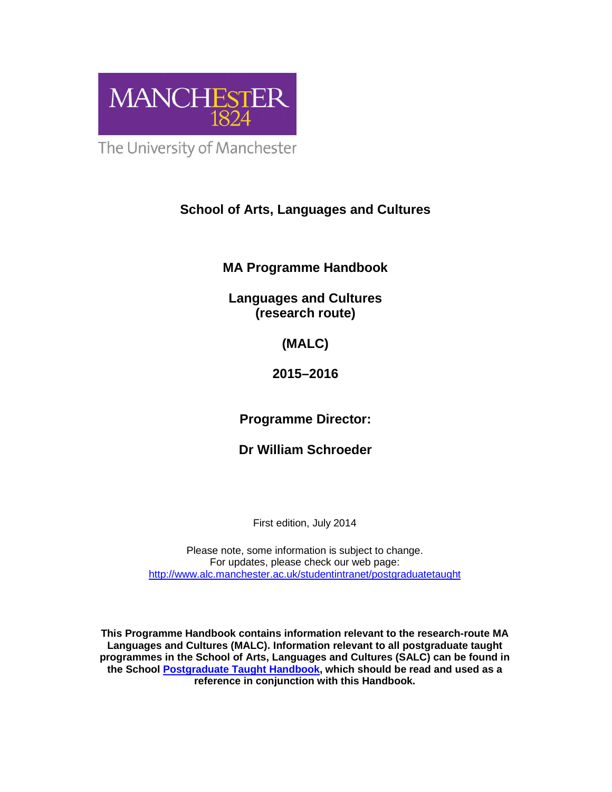

The University of Manchester

# **School of Arts, Languages and Cultures**

**MA Programme Handbook** 

**Languages and Cultures (research route)** 

**(MALC)** 

**2015–2016** 

**Programme Director:** 

**Dr William Schroeder** 

First edition, July 2014

Please note, some information is subject to change. For updates, please check our web page: http://www.alc.manchester.ac.uk/studentintranet/postgraduatetaught

**This Programme Handbook contains information relevant to the research-route MA Languages and Cultures (MALC). Information relevant to all postgraduate taught programmes in the School of Arts, Languages and Cultures (SALC) can be found in the School Postgraduate Taught Handbook, which should be read and used as a reference in conjunction with this Handbook.**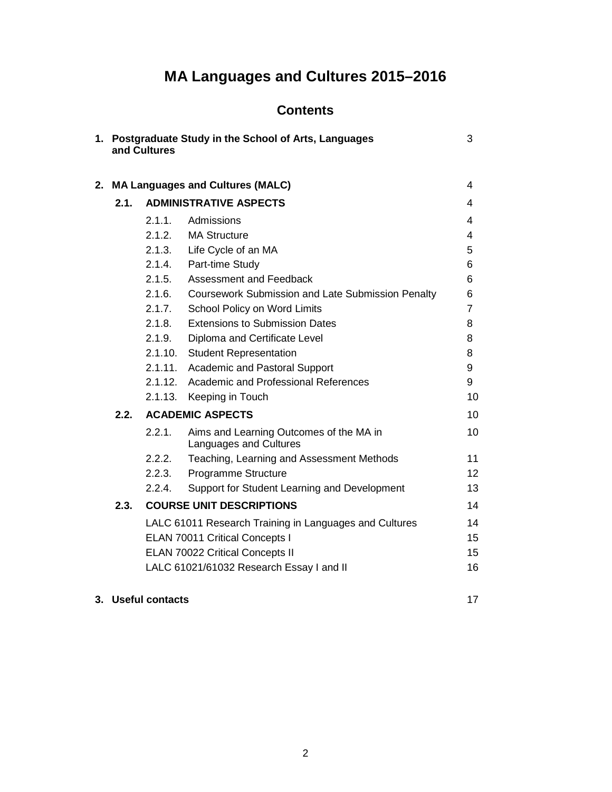# **MA Languages and Cultures 2015–2016**

# **Contents**

| 1. Postgraduate Study in the School of Arts, Languages<br>3<br>and Cultures |        |                                                                   |    |
|-----------------------------------------------------------------------------|--------|-------------------------------------------------------------------|----|
| 2. MA Languages and Cultures (MALC)                                         |        | 4                                                                 |    |
| 2.1.                                                                        |        | <b>ADMINISTRATIVE ASPECTS</b>                                     | 4  |
|                                                                             | 2.1.1. | Admissions                                                        | 4  |
|                                                                             |        | 2.1.2. MA Structure                                               | 4  |
|                                                                             |        | 2.1.3. Life Cycle of an MA                                        | 5  |
|                                                                             |        | 2.1.4. Part-time Study                                            | 6  |
|                                                                             | 2.1.5. | Assessment and Feedback                                           | 6  |
|                                                                             | 2.1.6. | <b>Coursework Submission and Late Submission Penalty</b>          | 6  |
|                                                                             | 2.1.7. | School Policy on Word Limits                                      | 7  |
|                                                                             | 2.1.8. | <b>Extensions to Submission Dates</b>                             | 8  |
|                                                                             | 2.1.9. | Diploma and Certificate Level                                     | 8  |
|                                                                             |        | 2.1.10. Student Representation                                    | 8  |
|                                                                             |        | 2.1.11. Academic and Pastoral Support                             | 9  |
|                                                                             |        | 2.1.12. Academic and Professional References                      | 9  |
|                                                                             |        | 2.1.13. Keeping in Touch                                          | 10 |
| 2.2.                                                                        |        | <b>ACADEMIC ASPECTS</b>                                           | 10 |
|                                                                             | 2.2.1. | Aims and Learning Outcomes of the MA in<br>Languages and Cultures | 10 |
|                                                                             | 2.2.2. | Teaching, Learning and Assessment Methods                         | 11 |
|                                                                             | 2.2.3. | Programme Structure                                               | 12 |
|                                                                             | 2.2.4. | Support for Student Learning and Development                      | 13 |
| 2.3.                                                                        |        | <b>COURSE UNIT DESCRIPTIONS</b>                                   | 14 |
|                                                                             |        | LALC 61011 Research Training in Languages and Cultures            | 14 |
|                                                                             |        | <b>ELAN 70011 Critical Concepts I</b>                             | 15 |
|                                                                             |        | <b>ELAN 70022 Critical Concepts II</b>                            | 15 |
|                                                                             |        | LALC 61021/61032 Research Essay I and II                          | 16 |

# **3. Useful contacts** 17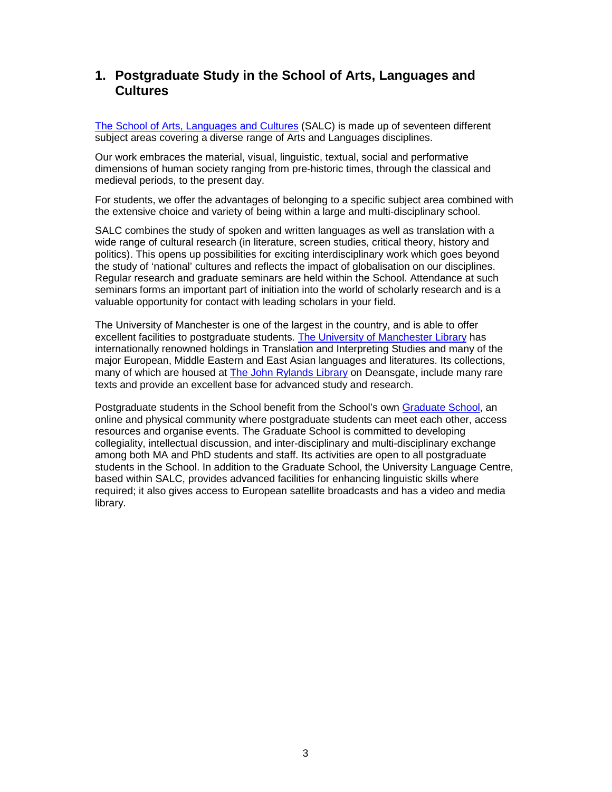# **1. Postgraduate Study in the School of Arts, Languages and Cultures**

The School of Arts, Languages and Cultures (SALC) is made up of seventeen different subject areas covering a diverse range of Arts and Languages disciplines.

Our work embraces the material, visual, linguistic, textual, social and performative dimensions of human society ranging from pre-historic times, through the classical and medieval periods, to the present day.

For students, we offer the advantages of belonging to a specific subject area combined with the extensive choice and variety of being within a large and multi-disciplinary school.

SALC combines the study of spoken and written languages as well as translation with a wide range of cultural research (in literature, screen studies, critical theory, history and politics). This opens up possibilities for exciting interdisciplinary work which goes beyond the study of 'national' cultures and reflects the impact of globalisation on our disciplines. Regular research and graduate seminars are held within the School. Attendance at such seminars forms an important part of initiation into the world of scholarly research and is a valuable opportunity for contact with leading scholars in your field.

The University of Manchester is one of the largest in the country, and is able to offer excellent facilities to postgraduate students. The University of Manchester Library has internationally renowned holdings in Translation and Interpreting Studies and many of the major European, Middle Eastern and East Asian languages and literatures. Its collections, many of which are housed at The John Rylands Library on Deansgate, include many rare texts and provide an excellent base for advanced study and research.

Postgraduate students in the School benefit from the School's own Graduate School, an online and physical community where postgraduate students can meet each other, access resources and organise events. The Graduate School is committed to developing collegiality, intellectual discussion, and inter-disciplinary and multi-disciplinary exchange among both MA and PhD students and staff. Its activities are open to all postgraduate students in the School. In addition to the Graduate School, the University Language Centre, based within SALC, provides advanced facilities for enhancing linguistic skills where required; it also gives access to European satellite broadcasts and has a video and media library.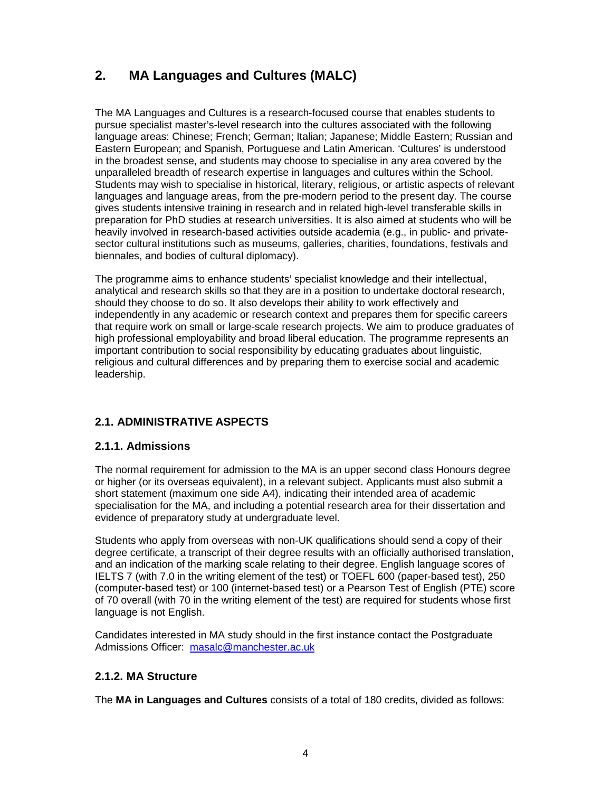# **2. MA Languages and Cultures (MALC)**

The MA Languages and Cultures is a research-focused course that enables students to pursue specialist master's-level research into the cultures associated with the following language areas: Chinese; French; German; Italian; Japanese; Middle Eastern; Russian and Eastern European; and Spanish, Portuguese and Latin American. 'Cultures' is understood in the broadest sense, and students may choose to specialise in any area covered by the unparalleled breadth of research expertise in languages and cultures within the School. Students may wish to specialise in historical, literary, religious, or artistic aspects of relevant languages and language areas, from the pre-modern period to the present day. The course gives students intensive training in research and in related high-level transferable skills in preparation for PhD studies at research universities. It is also aimed at students who will be heavily involved in research-based activities outside academia (e.g., in public- and privatesector cultural institutions such as museums, galleries, charities, foundations, festivals and biennales, and bodies of cultural diplomacy).

The programme aims to enhance students' specialist knowledge and their intellectual, analytical and research skills so that they are in a position to undertake doctoral research, should they choose to do so. It also develops their ability to work effectively and independently in any academic or research context and prepares them for specific careers that require work on small or large-scale research projects. We aim to produce graduates of high professional employability and broad liberal education. The programme represents an important contribution to social responsibility by educating graduates about linguistic, religious and cultural differences and by preparing them to exercise social and academic leadership.

# **2.1. ADMINISTRATIVE ASPECTS**

# **2.1.1. Admissions**

The normal requirement for admission to the MA is an upper second class Honours degree or higher (or its overseas equivalent), in a relevant subject. Applicants must also submit a short statement (maximum one side A4), indicating their intended area of academic specialisation for the MA, and including a potential research area for their dissertation and evidence of preparatory study at undergraduate level.

Students who apply from overseas with non-UK qualifications should send a copy of their degree certificate, a transcript of their degree results with an officially authorised translation, and an indication of the marking scale relating to their degree. English language scores of IELTS 7 (with 7.0 in the writing element of the test) or TOEFL 600 (paper-based test), 250 (computer-based test) or 100 (internet-based test) or a Pearson Test of English (PTE) score of 70 overall (with 70 in the writing element of the test) are required for students whose first language is not English.

Candidates interested in MA study should in the first instance contact the Postgraduate Admissions Officer: masalc@manchester.ac.uk

# **2.1.2. MA Structure**

The **MA in Languages and Cultures** consists of a total of 180 credits, divided as follows: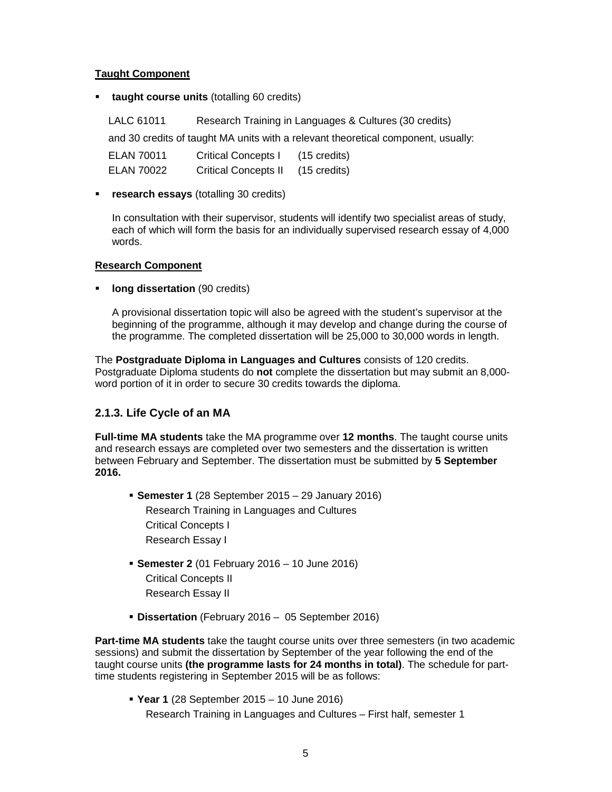#### **Taught Component**

**taught course units** (totalling 60 credits)

LALC 61011 Research Training in Languages & Cultures (30 credits)

and 30 credits of taught MA units with a relevant theoretical component, usually:

| ELAN 70011 | <b>Critical Concepts I</b>  | (15 credits) |
|------------|-----------------------------|--------------|
| ELAN 70022 | <b>Critical Concepts II</b> | (15 credits) |

**research essays** (totalling 30 credits)

In consultation with their supervisor, students will identify two specialist areas of study, each of which will form the basis for an individually supervised research essay of 4,000 words.

#### **Research Component**

**long dissertation** (90 credits)

A provisional dissertation topic will also be agreed with the student's supervisor at the beginning of the programme, although it may develop and change during the course of the programme. The completed dissertation will be 25,000 to 30,000 words in length.

The **Postgraduate Diploma in Languages and Cultures** consists of 120 credits. Postgraduate Diploma students do **not** complete the dissertation but may submit an 8,000 word portion of it in order to secure 30 credits towards the diploma.

# **2.1.3. Life Cycle of an MA**

**Full-time MA students** take the MA programme over **12 months**. The taught course units and research essays are completed over two semesters and the dissertation is written between February and September. The dissertation must be submitted by **5 September 2016.** 

- **Semester 1** (28 September 2015 29 January 2016) Research Training in Languages and Cultures Critical Concepts I Research Essay I
- **Semester 2** (01 February 2016 10 June 2016) Critical Concepts II Research Essay II
- **Dissertation** (February 2016 05 September 2016)

**Part-time MA students** take the taught course units over three semesters (in two academic sessions) and submit the dissertation by September of the year following the end of the taught course units **(the programme lasts for 24 months in total)**. The schedule for parttime students registering in September 2015 will be as follows:

**Year 1** (28 September 2015 – 10 June 2016)

Research Training in Languages and Cultures – First half, semester 1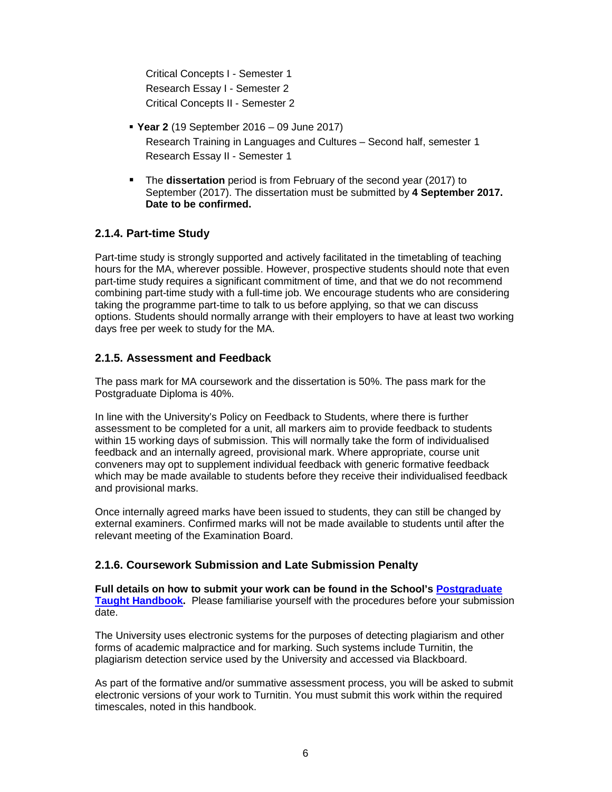Critical Concepts I - Semester 1 Research Essay I - Semester 2 Critical Concepts II - Semester 2

- **Year 2** (19 September 2016 09 June 2017) Research Training in Languages and Cultures – Second half, semester 1 Research Essay II - Semester 1
- The **dissertation** period is from February of the second year (2017) to September (2017). The dissertation must be submitted by **4 September 2017. Date to be confirmed.**

# **2.1.4. Part-time Study**

Part-time study is strongly supported and actively facilitated in the timetabling of teaching hours for the MA, wherever possible. However, prospective students should note that even part-time study requires a significant commitment of time, and that we do not recommend combining part-time study with a full-time job. We encourage students who are considering taking the programme part-time to talk to us before applying, so that we can discuss options. Students should normally arrange with their employers to have at least two working days free per week to study for the MA.

# **2.1.5. Assessment and Feedback**

The pass mark for MA coursework and the dissertation is 50%. The pass mark for the Postgraduate Diploma is 40%.

In line with the University's Policy on Feedback to Students, where there is further assessment to be completed for a unit, all markers aim to provide feedback to students within 15 working days of submission. This will normally take the form of individualised feedback and an internally agreed, provisional mark. Where appropriate, course unit conveners may opt to supplement individual feedback with generic formative feedback which may be made available to students before they receive their individualised feedback and provisional marks.

Once internally agreed marks have been issued to students, they can still be changed by external examiners. Confirmed marks will not be made available to students until after the relevant meeting of the Examination Board.

# **2.1.6. Coursework Submission and Late Submission Penalty**

**Full details on how to submit your work can be found in the School's Postgraduate Taught Handbook.** Please familiarise yourself with the procedures before your submission date.

The University uses electronic systems for the purposes of detecting plagiarism and other forms of academic malpractice and for marking. Such systems include Turnitin, the plagiarism detection service used by the University and accessed via Blackboard.

As part of the formative and/or summative assessment process, you will be asked to submit electronic versions of your work to Turnitin. You must submit this work within the required timescales, noted in this handbook.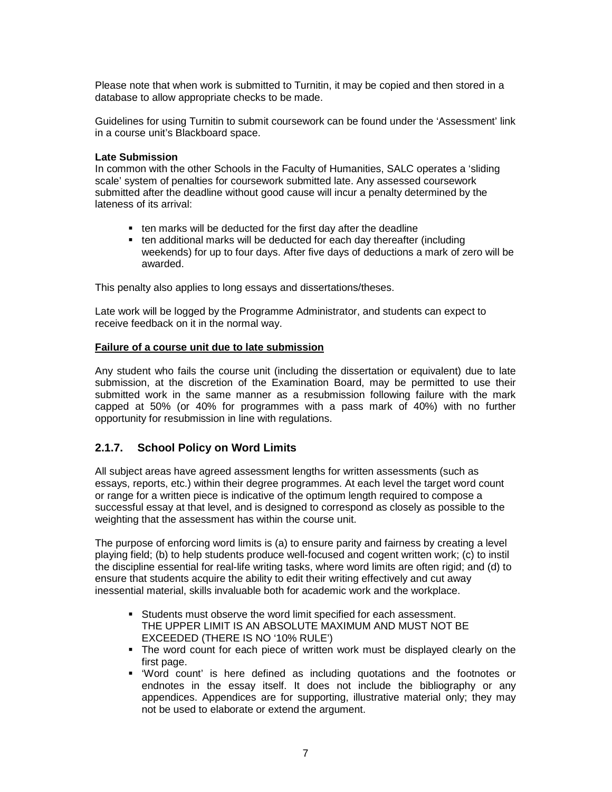Please note that when work is submitted to Turnitin, it may be copied and then stored in a database to allow appropriate checks to be made.

Guidelines for using Turnitin to submit coursework can be found under the 'Assessment' link in a course unit's Blackboard space.

#### **Late Submission**

In common with the other Schools in the Faculty of Humanities, SALC operates a 'sliding scale' system of penalties for coursework submitted late. Any assessed coursework submitted after the deadline without good cause will incur a penalty determined by the lateness of its arrival:

- ten marks will be deducted for the first day after the deadline
- ten additional marks will be deducted for each day thereafter (including weekends) for up to four days. After five days of deductions a mark of zero will be awarded.

This penalty also applies to long essays and dissertations/theses.

Late work will be logged by the Programme Administrator, and students can expect to receive feedback on it in the normal way.

#### **Failure of a course unit due to late submission**

Any student who fails the course unit (including the dissertation or equivalent) due to late submission, at the discretion of the Examination Board, may be permitted to use their submitted work in the same manner as a resubmission following failure with the mark capped at 50% (or 40% for programmes with a pass mark of 40%) with no further opportunity for resubmission in line with regulations.

# **2.1.7. School Policy on Word Limits**

All subject areas have agreed assessment lengths for written assessments (such as essays, reports, etc.) within their degree programmes. At each level the target word count or range for a written piece is indicative of the optimum length required to compose a successful essay at that level, and is designed to correspond as closely as possible to the weighting that the assessment has within the course unit.

The purpose of enforcing word limits is (a) to ensure parity and fairness by creating a level playing field; (b) to help students produce well-focused and cogent written work; (c) to instil the discipline essential for real-life writing tasks, where word limits are often rigid; and (d) to ensure that students acquire the ability to edit their writing effectively and cut away inessential material, skills invaluable both for academic work and the workplace.

- Students must observe the word limit specified for each assessment. THE UPPER LIMIT IS AN ABSOLUTE MAXIMUM AND MUST NOT BE EXCEEDED (THERE IS NO '10% RULE')
- The word count for each piece of written work must be displayed clearly on the first page.
- 'Word count' is here defined as including quotations and the footnotes or endnotes in the essay itself. It does not include the bibliography or any appendices. Appendices are for supporting, illustrative material only; they may not be used to elaborate or extend the argument.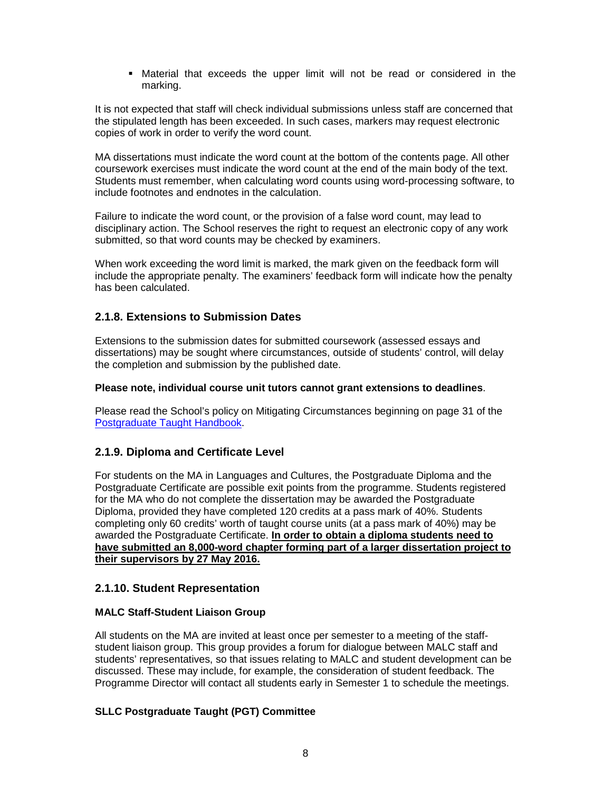Material that exceeds the upper limit will not be read or considered in the marking.

It is not expected that staff will check individual submissions unless staff are concerned that the stipulated length has been exceeded. In such cases, markers may request electronic copies of work in order to verify the word count.

MA dissertations must indicate the word count at the bottom of the contents page. All other coursework exercises must indicate the word count at the end of the main body of the text. Students must remember, when calculating word counts using word-processing software, to include footnotes and endnotes in the calculation.

Failure to indicate the word count, or the provision of a false word count, may lead to disciplinary action. The School reserves the right to request an electronic copy of any work submitted, so that word counts may be checked by examiners.

When work exceeding the word limit is marked, the mark given on the feedback form will include the appropriate penalty. The examiners' feedback form will indicate how the penalty has been calculated.

#### **2.1.8. Extensions to Submission Dates**

Extensions to the submission dates for submitted coursework (assessed essays and dissertations) may be sought where circumstances, outside of students' control, will delay the completion and submission by the published date.

#### **Please note, individual course unit tutors cannot grant extensions to deadlines**.

Please read the School's policy on Mitigating Circumstances beginning on page 31 of the Postgraduate Taught Handbook.

# **2.1.9. Diploma and Certificate Level**

For students on the MA in Languages and Cultures, the Postgraduate Diploma and the Postgraduate Certificate are possible exit points from the programme. Students registered for the MA who do not complete the dissertation may be awarded the Postgraduate Diploma, provided they have completed 120 credits at a pass mark of 40%. Students completing only 60 credits' worth of taught course units (at a pass mark of 40%) may be awarded the Postgraduate Certificate. **In order to obtain a diploma students need to have submitted an 8,000-word chapter forming part of a larger dissertation project to their supervisors by 27 May 2016.** 

#### **2.1.10. Student Representation**

#### **MALC Staff-Student Liaison Group**

All students on the MA are invited at least once per semester to a meeting of the staffstudent liaison group. This group provides a forum for dialogue between MALC staff and students' representatives, so that issues relating to MALC and student development can be discussed. These may include, for example, the consideration of student feedback. The Programme Director will contact all students early in Semester 1 to schedule the meetings.

#### **SLLC Postgraduate Taught (PGT) Committee**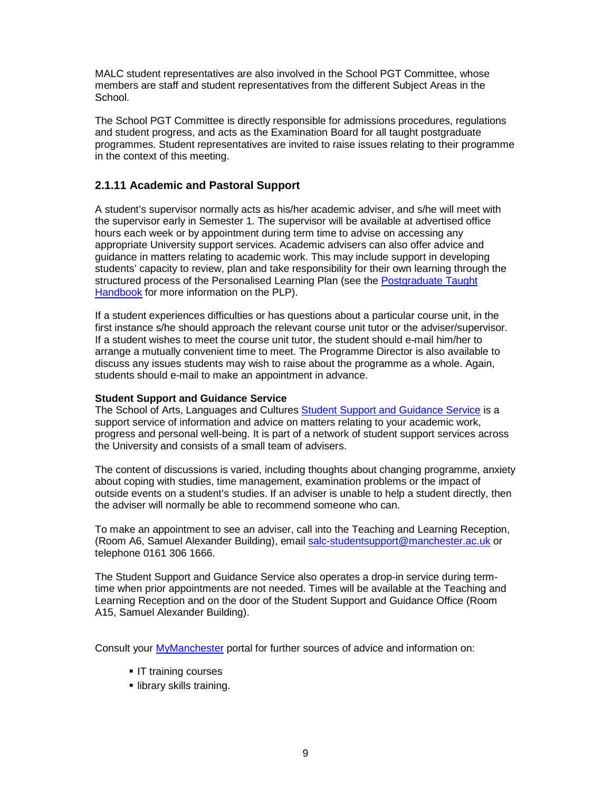MALC student representatives are also involved in the School PGT Committee, whose members are staff and student representatives from the different Subject Areas in the School.

The School PGT Committee is directly responsible for admissions procedures, regulations and student progress, and acts as the Examination Board for all taught postgraduate programmes. Student representatives are invited to raise issues relating to their programme in the context of this meeting.

### **2.1.11 Academic and Pastoral Support**

A student's supervisor normally acts as his/her academic adviser, and s/he will meet with the supervisor early in Semester 1. The supervisor will be available at advertised office hours each week or by appointment during term time to advise on accessing any appropriate University support services. Academic advisers can also offer advice and guidance in matters relating to academic work. This may include support in developing students' capacity to review, plan and take responsibility for their own learning through the structured process of the Personalised Learning Plan (see the Postgraduate Taught Handbook for more information on the PLP).

If a student experiences difficulties or has questions about a particular course unit, in the first instance s/he should approach the relevant course unit tutor or the adviser/supervisor. If a student wishes to meet the course unit tutor, the student should e-mail him/her to arrange a mutually convenient time to meet. The Programme Director is also available to discuss any issues students may wish to raise about the programme as a whole. Again, students should e-mail to make an appointment in advance.

#### **Student Support and Guidance Service**

The School of Arts, Languages and Cultures Student Support and Guidance Service is a support service of information and advice on matters relating to your academic work, progress and personal well-being. It is part of a network of student support services across the University and consists of a small team of advisers.

The content of discussions is varied, including thoughts about changing programme, anxiety about coping with studies, time management, examination problems or the impact of outside events on a student's studies. If an adviser is unable to help a student directly, then the adviser will normally be able to recommend someone who can.

To make an appointment to see an adviser, call into the Teaching and Learning Reception, (Room A6, Samuel Alexander Building), email salc-studentsupport@manchester.ac.uk or telephone 0161 306 1666.

The Student Support and Guidance Service also operates a drop-in service during termtime when prior appointments are not needed. Times will be available at the Teaching and Learning Reception and on the door of the Student Support and Guidance Office (Room A15, Samuel Alexander Building).

Consult your MyManchester portal for further sources of advice and information on:

- **IT training courses**
- **Ilibrary skills training.**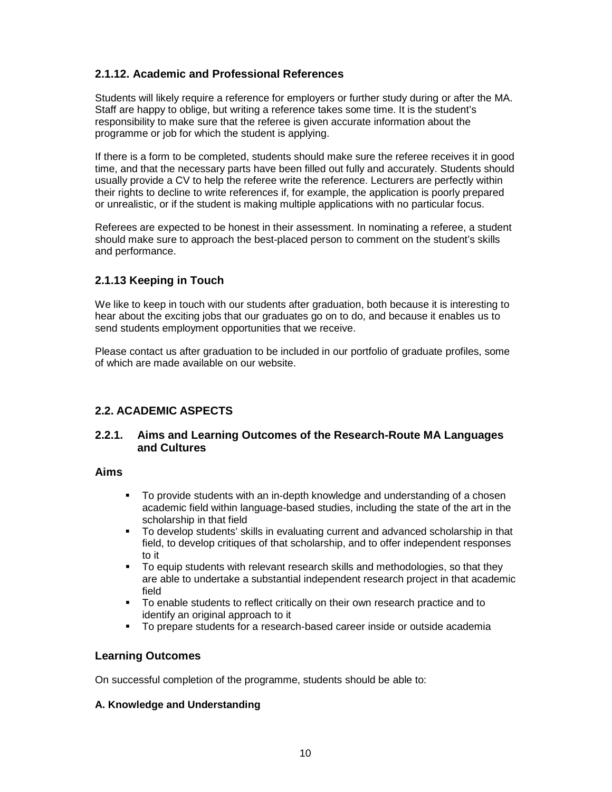# **2.1.12. Academic and Professional References**

Students will likely require a reference for employers or further study during or after the MA. Staff are happy to oblige, but writing a reference takes some time. It is the student's responsibility to make sure that the referee is given accurate information about the programme or job for which the student is applying.

If there is a form to be completed, students should make sure the referee receives it in good time, and that the necessary parts have been filled out fully and accurately. Students should usually provide a CV to help the referee write the reference. Lecturers are perfectly within their rights to decline to write references if, for example, the application is poorly prepared or unrealistic, or if the student is making multiple applications with no particular focus.

Referees are expected to be honest in their assessment. In nominating a referee, a student should make sure to approach the best-placed person to comment on the student's skills and performance.

# **2.1.13 Keeping in Touch**

We like to keep in touch with our students after graduation, both because it is interesting to hear about the exciting jobs that our graduates go on to do, and because it enables us to send students employment opportunities that we receive.

Please contact us after graduation to be included in our portfolio of graduate profiles, some of which are made available on our website.

# **2.2. ACADEMIC ASPECTS**

#### **2.2.1. Aims and Learning Outcomes of the Research-Route MA Languages and Cultures**

#### **Aims**

- To provide students with an in-depth knowledge and understanding of a chosen academic field within language-based studies, including the state of the art in the scholarship in that field
- To develop students' skills in evaluating current and advanced scholarship in that field, to develop critiques of that scholarship, and to offer independent responses to it
- To equip students with relevant research skills and methodologies, so that they are able to undertake a substantial independent research project in that academic field
- To enable students to reflect critically on their own research practice and to identify an original approach to it
- To prepare students for a research-based career inside or outside academia

# **Learning Outcomes**

On successful completion of the programme, students should be able to:

#### **A. Knowledge and Understanding**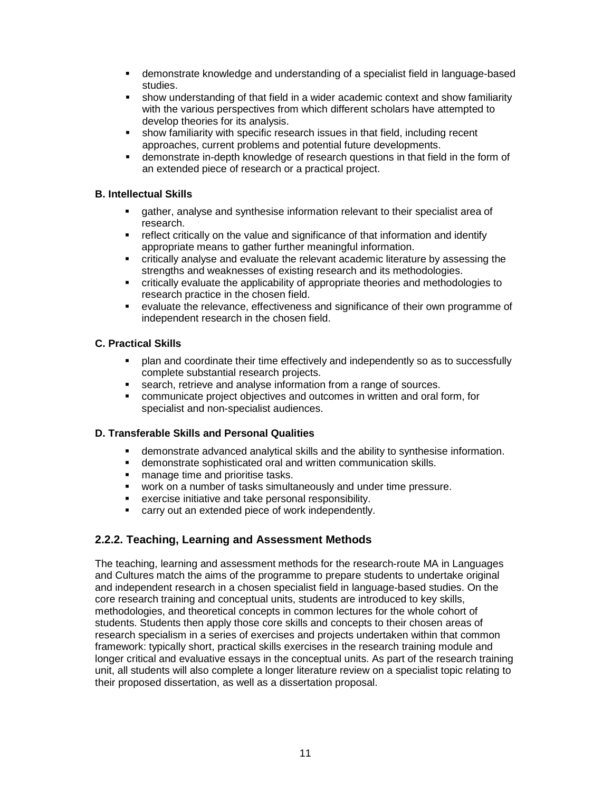- demonstrate knowledge and understanding of a specialist field in language-based studies.
- show understanding of that field in a wider academic context and show familiarity with the various perspectives from which different scholars have attempted to develop theories for its analysis.
- show familiarity with specific research issues in that field, including recent approaches, current problems and potential future developments.
- demonstrate in-depth knowledge of research questions in that field in the form of an extended piece of research or a practical project.

#### **B. Intellectual Skills**

- gather, analyse and synthesise information relevant to their specialist area of research.
- reflect critically on the value and significance of that information and identify appropriate means to gather further meaningful information.
- critically analyse and evaluate the relevant academic literature by assessing the strengths and weaknesses of existing research and its methodologies.
- critically evaluate the applicability of appropriate theories and methodologies to research practice in the chosen field.
- evaluate the relevance, effectiveness and significance of their own programme of independent research in the chosen field.

#### **C. Practical Skills**

- plan and coordinate their time effectively and independently so as to successfully complete substantial research projects.
- **search, retrieve and analyse information from a range of sources.**
- communicate project objectives and outcomes in written and oral form, for specialist and non-specialist audiences.

#### **D. Transferable Skills and Personal Qualities**

- demonstrate advanced analytical skills and the ability to synthesise information.
- demonstrate sophisticated oral and written communication skills.
- **nanage time and prioritise tasks.**
- work on a number of tasks simultaneously and under time pressure.
- exercise initiative and take personal responsibility.
- carry out an extended piece of work independently.

# **2.2.2. Teaching, Learning and Assessment Methods**

The teaching, learning and assessment methods for the research-route MA in Languages and Cultures match the aims of the programme to prepare students to undertake original and independent research in a chosen specialist field in language-based studies. On the core research training and conceptual units, students are introduced to key skills, methodologies, and theoretical concepts in common lectures for the whole cohort of students. Students then apply those core skills and concepts to their chosen areas of research specialism in a series of exercises and projects undertaken within that common framework: typically short, practical skills exercises in the research training module and longer critical and evaluative essays in the conceptual units. As part of the research training unit, all students will also complete a longer literature review on a specialist topic relating to their proposed dissertation, as well as a dissertation proposal.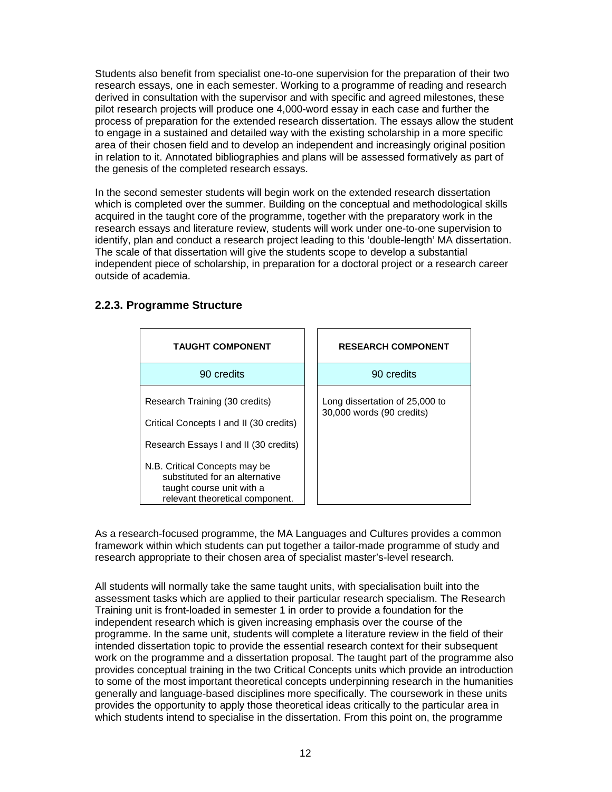Students also benefit from specialist one-to-one supervision for the preparation of their two research essays, one in each semester. Working to a programme of reading and research derived in consultation with the supervisor and with specific and agreed milestones, these pilot research projects will produce one 4,000-word essay in each case and further the process of preparation for the extended research dissertation. The essays allow the student to engage in a sustained and detailed way with the existing scholarship in a more specific area of their chosen field and to develop an independent and increasingly original position in relation to it. Annotated bibliographies and plans will be assessed formatively as part of the genesis of the completed research essays.

In the second semester students will begin work on the extended research dissertation which is completed over the summer. Building on the conceptual and methodological skills acquired in the taught core of the programme, together with the preparatory work in the research essays and literature review, students will work under one-to-one supervision to identify, plan and conduct a research project leading to this 'double-length' MA dissertation. The scale of that dissertation will give the students scope to develop a substantial independent piece of scholarship, in preparation for a doctoral project or a research career outside of academia.

| <b>TAUGHT COMPONENT</b>                                                                                                         | <b>RESEARCH COMPONENT</b>                                   |
|---------------------------------------------------------------------------------------------------------------------------------|-------------------------------------------------------------|
| 90 credits                                                                                                                      | 90 credits                                                  |
| Research Training (30 credits)<br>Critical Concepts I and II (30 credits)                                                       | Long dissertation of 25,000 to<br>30,000 words (90 credits) |
| Research Essays I and II (30 credits)                                                                                           |                                                             |
| N.B. Critical Concepts may be<br>substituted for an alternative<br>taught course unit with a<br>relevant theoretical component. |                                                             |

# **2.2.3. Programme Structure**

As a research-focused programme, the MA Languages and Cultures provides a common framework within which students can put together a tailor-made programme of study and research appropriate to their chosen area of specialist master's-level research.

All students will normally take the same taught units, with specialisation built into the assessment tasks which are applied to their particular research specialism. The Research Training unit is front-loaded in semester 1 in order to provide a foundation for the independent research which is given increasing emphasis over the course of the programme. In the same unit, students will complete a literature review in the field of their intended dissertation topic to provide the essential research context for their subsequent work on the programme and a dissertation proposal. The taught part of the programme also provides conceptual training in the two Critical Concepts units which provide an introduction to some of the most important theoretical concepts underpinning research in the humanities generally and language-based disciplines more specifically. The coursework in these units provides the opportunity to apply those theoretical ideas critically to the particular area in which students intend to specialise in the dissertation. From this point on, the programme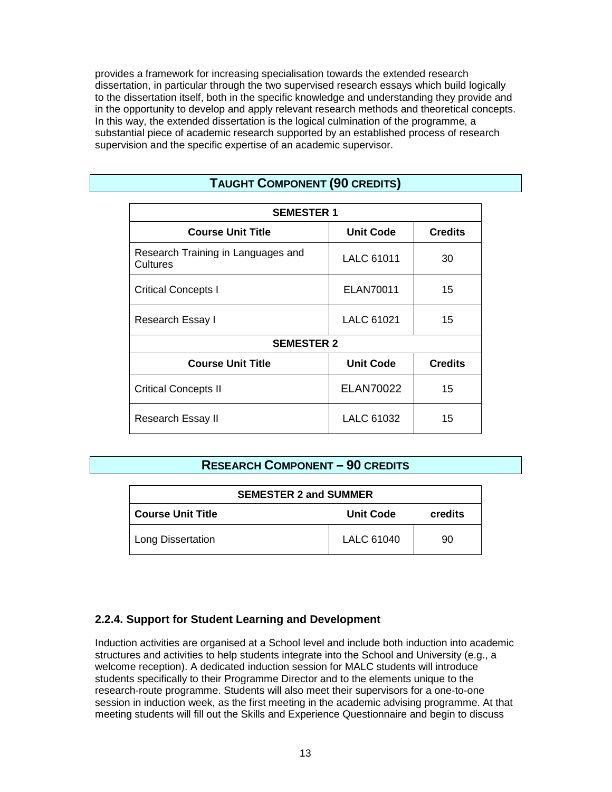provides a framework for increasing specialisation towards the extended research dissertation, in particular through the two supervised research essays which build logically to the dissertation itself, both in the specific knowledge and understanding they provide and in the opportunity to develop and apply relevant research methods and theoretical concepts. In this way, the extended dissertation is the logical culmination of the programme, a substantial piece of academic research supported by an established process of research supervision and the specific expertise of an academic supervisor.

| <b>SEMESTER 1</b>                              |                   |                |  |
|------------------------------------------------|-------------------|----------------|--|
| <b>Course Unit Title</b>                       | <b>Unit Code</b>  | <b>Credits</b> |  |
| Research Training in Languages and<br>Cultures | <b>LALC 61011</b> | 30             |  |
| <b>Critical Concepts I</b>                     | ELAN70011         | 15             |  |
| Research Essay I                               | LALC 61021        | 15             |  |
| <b>SEMESTER 2</b>                              |                   |                |  |
| <b>Course Unit Title</b>                       | <b>Unit Code</b>  | <b>Credits</b> |  |
| <b>Critical Concepts II</b>                    | ELAN70022         | 15             |  |
| Research Essay II                              | LALC 61032        | 15             |  |

# **TAUGHT COMPONENT (90 CREDITS)**

# **RESEARCH COMPONENT – 90 CREDITS**

| <b>SEMESTER 2 and SUMMER</b> |                  |         |
|------------------------------|------------------|---------|
| <b>Course Unit Title</b>     | <b>Unit Code</b> | credits |
| Long Dissertation            | LALC 61040       | 90      |

# **2.2.4. Support for Student Learning and Development**

Induction activities are organised at a School level and include both induction into academic structures and activities to help students integrate into the School and University (e.g., a welcome reception). A dedicated induction session for MALC students will introduce students specifically to their Programme Director and to the elements unique to the research-route programme. Students will also meet their supervisors for a one-to-one session in induction week, as the first meeting in the academic advising programme. At that meeting students will fill out the Skills and Experience Questionnaire and begin to discuss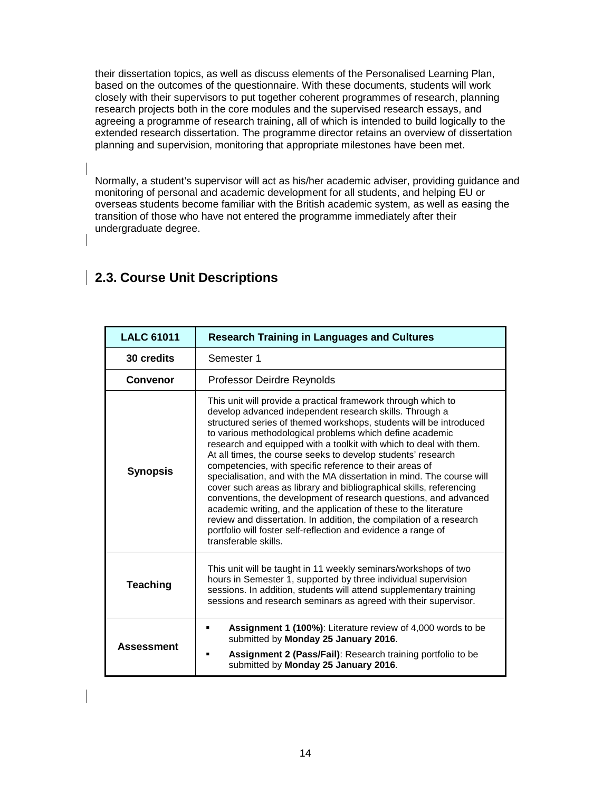their dissertation topics, as well as discuss elements of the Personalised Learning Plan, based on the outcomes of the questionnaire. With these documents, students will work closely with their supervisors to put together coherent programmes of research, planning research projects both in the core modules and the supervised research essays, and agreeing a programme of research training, all of which is intended to build logically to the extended research dissertation. The programme director retains an overview of dissertation planning and supervision, monitoring that appropriate milestones have been met.

Normally, a student's supervisor will act as his/her academic adviser, providing guidance and monitoring of personal and academic development for all students, and helping EU or overseas students become familiar with the British academic system, as well as easing the transition of those who have not entered the programme immediately after their undergraduate degree.

| <b>LALC 61011</b> | <b>Research Training in Languages and Cultures</b>                                                                                                                                                                                                                                                                                                                                                                                                                                                                                                                                                                                                                                                                                                                                                                                                                                                                  |  |
|-------------------|---------------------------------------------------------------------------------------------------------------------------------------------------------------------------------------------------------------------------------------------------------------------------------------------------------------------------------------------------------------------------------------------------------------------------------------------------------------------------------------------------------------------------------------------------------------------------------------------------------------------------------------------------------------------------------------------------------------------------------------------------------------------------------------------------------------------------------------------------------------------------------------------------------------------|--|
| 30 credits        | Semester 1                                                                                                                                                                                                                                                                                                                                                                                                                                                                                                                                                                                                                                                                                                                                                                                                                                                                                                          |  |
| Convenor          | Professor Deirdre Reynolds                                                                                                                                                                                                                                                                                                                                                                                                                                                                                                                                                                                                                                                                                                                                                                                                                                                                                          |  |
| <b>Synopsis</b>   | This unit will provide a practical framework through which to<br>develop advanced independent research skills. Through a<br>structured series of themed workshops, students will be introduced<br>to various methodological problems which define academic<br>research and equipped with a toolkit with which to deal with them.<br>At all times, the course seeks to develop students' research<br>competencies, with specific reference to their areas of<br>specialisation, and with the MA dissertation in mind. The course will<br>cover such areas as library and bibliographical skills, referencing<br>conventions, the development of research questions, and advanced<br>academic writing, and the application of these to the literature<br>review and dissertation. In addition, the compilation of a research<br>portfolio will foster self-reflection and evidence a range of<br>transferable skills. |  |
| <b>Teaching</b>   | This unit will be taught in 11 weekly seminars/workshops of two<br>hours in Semester 1, supported by three individual supervision<br>sessions. In addition, students will attend supplementary training<br>sessions and research seminars as agreed with their supervisor.                                                                                                                                                                                                                                                                                                                                                                                                                                                                                                                                                                                                                                          |  |
| <b>Assessment</b> | <b>Assignment 1 (100%):</b> Literature review of 4,000 words to be<br>submitted by Monday 25 January 2016.<br>Assignment 2 (Pass/Fail): Research training portfolio to be<br>submitted by Monday 25 January 2016.                                                                                                                                                                                                                                                                                                                                                                                                                                                                                                                                                                                                                                                                                                   |  |

# **2.3. Course Unit Descriptions**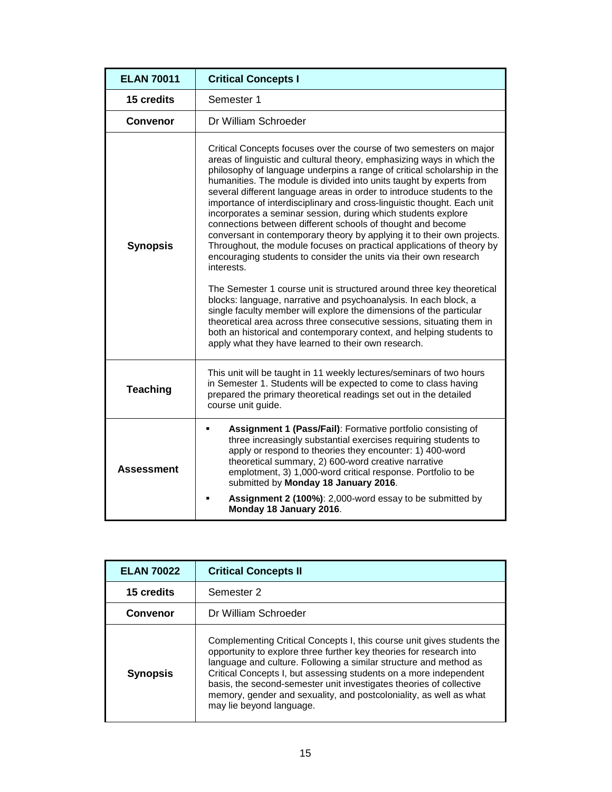| <b>ELAN 70011</b> | <b>Critical Concepts I</b>                                                                                                                                                                                                                                                                                                                                                                                                                                                                                                                                                                                                                                                                                                                                                                                                                                                                                                                                                                                                                                                                                                                                                                                                                              |
|-------------------|---------------------------------------------------------------------------------------------------------------------------------------------------------------------------------------------------------------------------------------------------------------------------------------------------------------------------------------------------------------------------------------------------------------------------------------------------------------------------------------------------------------------------------------------------------------------------------------------------------------------------------------------------------------------------------------------------------------------------------------------------------------------------------------------------------------------------------------------------------------------------------------------------------------------------------------------------------------------------------------------------------------------------------------------------------------------------------------------------------------------------------------------------------------------------------------------------------------------------------------------------------|
| 15 credits        | Semester 1                                                                                                                                                                                                                                                                                                                                                                                                                                                                                                                                                                                                                                                                                                                                                                                                                                                                                                                                                                                                                                                                                                                                                                                                                                              |
| Convenor          | Dr William Schroeder                                                                                                                                                                                                                                                                                                                                                                                                                                                                                                                                                                                                                                                                                                                                                                                                                                                                                                                                                                                                                                                                                                                                                                                                                                    |
| <b>Synopsis</b>   | Critical Concepts focuses over the course of two semesters on major<br>areas of linguistic and cultural theory, emphasizing ways in which the<br>philosophy of language underpins a range of critical scholarship in the<br>humanities. The module is divided into units taught by experts from<br>several different language areas in order to introduce students to the<br>importance of interdisciplinary and cross-linguistic thought. Each unit<br>incorporates a seminar session, during which students explore<br>connections between different schools of thought and become<br>conversant in contemporary theory by applying it to their own projects.<br>Throughout, the module focuses on practical applications of theory by<br>encouraging students to consider the units via their own research<br>interests.<br>The Semester 1 course unit is structured around three key theoretical<br>blocks: language, narrative and psychoanalysis. In each block, a<br>single faculty member will explore the dimensions of the particular<br>theoretical area across three consecutive sessions, situating them in<br>both an historical and contemporary context, and helping students to<br>apply what they have learned to their own research. |
| <b>Teaching</b>   | This unit will be taught in 11 weekly lectures/seminars of two hours<br>in Semester 1. Students will be expected to come to class having<br>prepared the primary theoretical readings set out in the detailed<br>course unit guide.                                                                                                                                                                                                                                                                                                                                                                                                                                                                                                                                                                                                                                                                                                                                                                                                                                                                                                                                                                                                                     |
| <b>Assessment</b> | Assignment 1 (Pass/Fail): Formative portfolio consisting of<br>Ξ<br>three increasingly substantial exercises requiring students to<br>apply or respond to theories they encounter: 1) 400-word<br>theoretical summary, 2) 600-word creative narrative<br>emplotment, 3) 1,000-word critical response. Portfolio to be<br>submitted by Monday 18 January 2016.<br>Assignment 2 (100%): 2,000-word essay to be submitted by<br>Monday 18 January 2016.                                                                                                                                                                                                                                                                                                                                                                                                                                                                                                                                                                                                                                                                                                                                                                                                    |

| <b>ELAN 70022</b> | <b>Critical Concepts II</b>                                                                                                                                                                                                                                                                                                                                                                                                                                      |
|-------------------|------------------------------------------------------------------------------------------------------------------------------------------------------------------------------------------------------------------------------------------------------------------------------------------------------------------------------------------------------------------------------------------------------------------------------------------------------------------|
| 15 credits        | Semester 2                                                                                                                                                                                                                                                                                                                                                                                                                                                       |
| <b>Convenor</b>   | Dr William Schroeder                                                                                                                                                                                                                                                                                                                                                                                                                                             |
| <b>Synopsis</b>   | Complementing Critical Concepts I, this course unit gives students the<br>opportunity to explore three further key theories for research into<br>language and culture. Following a similar structure and method as<br>Critical Concepts I, but assessing students on a more independent<br>basis, the second-semester unit investigates theories of collective<br>memory, gender and sexuality, and postcoloniality, as well as what<br>may lie beyond language. |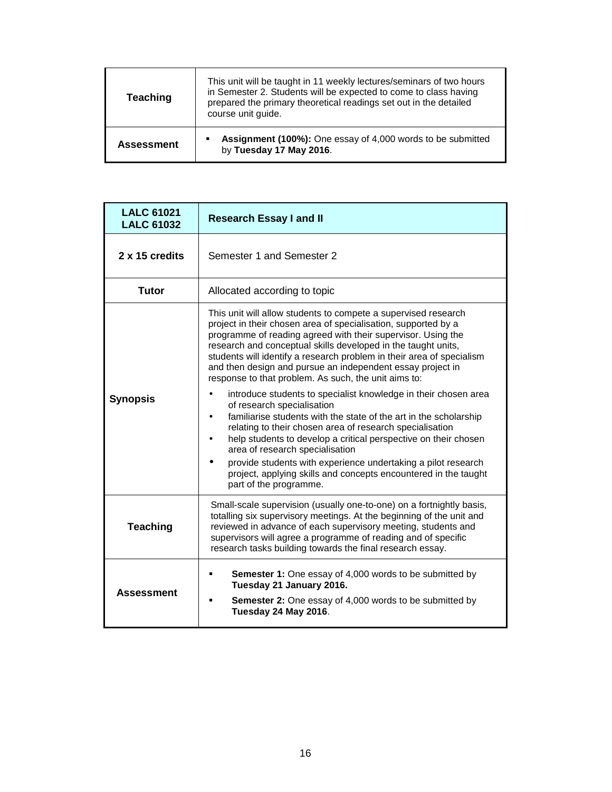| Teaching          | This unit will be taught in 11 weekly lectures/seminars of two hours<br>in Semester 2. Students will be expected to come to class having<br>prepared the primary theoretical readings set out in the detailed<br>course unit guide. |
|-------------------|-------------------------------------------------------------------------------------------------------------------------------------------------------------------------------------------------------------------------------------|
| <b>Assessment</b> | Assignment (100%): One essay of 4,000 words to be submitted<br>by Tuesday 17 May 2016.                                                                                                                                              |

| <b>LALC 61021</b><br><b>LALC 61032</b> | <b>Research Essay I and II</b>                                                                                                                                                                                                                                                                                                                                                                                                                                                                                                                                                                                                                                                                                                                                                                                                                                                                                                                                                                   |
|----------------------------------------|--------------------------------------------------------------------------------------------------------------------------------------------------------------------------------------------------------------------------------------------------------------------------------------------------------------------------------------------------------------------------------------------------------------------------------------------------------------------------------------------------------------------------------------------------------------------------------------------------------------------------------------------------------------------------------------------------------------------------------------------------------------------------------------------------------------------------------------------------------------------------------------------------------------------------------------------------------------------------------------------------|
| 2 x 15 credits                         | Semester 1 and Semester 2                                                                                                                                                                                                                                                                                                                                                                                                                                                                                                                                                                                                                                                                                                                                                                                                                                                                                                                                                                        |
| <b>Tutor</b>                           | Allocated according to topic                                                                                                                                                                                                                                                                                                                                                                                                                                                                                                                                                                                                                                                                                                                                                                                                                                                                                                                                                                     |
| <b>Synopsis</b>                        | This unit will allow students to compete a supervised research<br>project in their chosen area of specialisation, supported by a<br>programme of reading agreed with their supervisor. Using the<br>research and conceptual skills developed in the taught units,<br>students will identify a research problem in their area of specialism<br>and then design and pursue an independent essay project in<br>response to that problem. As such, the unit aims to:<br>introduce students to specialist knowledge in their chosen area<br>of research specialisation<br>familiarise students with the state of the art in the scholarship<br>$\bullet$<br>relating to their chosen area of research specialisation<br>help students to develop a critical perspective on their chosen<br>$\bullet$<br>area of research specialisation<br>provide students with experience undertaking a pilot research<br>project, applying skills and concepts encountered in the taught<br>part of the programme. |
| <b>Teaching</b>                        | Small-scale supervision (usually one-to-one) on a fortnightly basis,<br>totalling six supervisory meetings. At the beginning of the unit and<br>reviewed in advance of each supervisory meeting, students and<br>supervisors will agree a programme of reading and of specific<br>research tasks building towards the final research essay.                                                                                                                                                                                                                                                                                                                                                                                                                                                                                                                                                                                                                                                      |
| <b>Assessment</b>                      | <b>Semester 1:</b> One essay of 4,000 words to be submitted by<br>٠<br>Tuesday 21 January 2016.<br>Semester 2: One essay of 4,000 words to be submitted by<br>٠<br>Tuesday 24 May 2016.                                                                                                                                                                                                                                                                                                                                                                                                                                                                                                                                                                                                                                                                                                                                                                                                          |